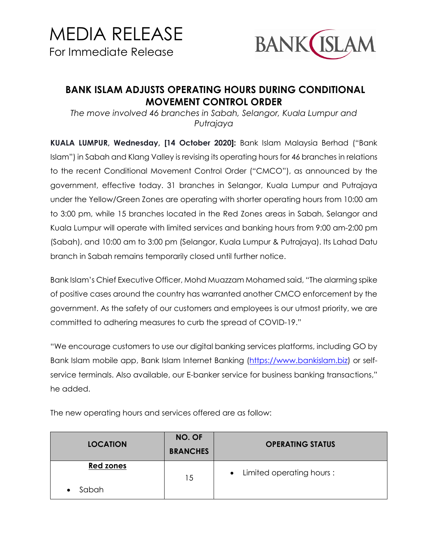

## **BANK ISLAM ADJUSTS OPERATING HOURS DURING CONDITIONAL MOVEMENT CONTROL ORDER**

*The move involved 46 branches in Sabah, Selangor, Kuala Lumpur and Putrajaya* 

**KUALA LUMPUR, Wednesday, [14 October 2020]:** Bank Islam Malaysia Berhad ("Bank Islam") in Sabah and Klang Valley is revising its operating hours for 46 branches in relations to the recent Conditional Movement Control Order ("CMCO"), as announced by the government, effective today. 31 branches in Selangor, Kuala Lumpur and Putrajaya under the Yellow/Green Zones are operating with shorter operating hours from 10:00 am to 3:00 pm, while 15 branches located in the Red Zones areas in Sabah, Selangor and Kuala Lumpur will operate with limited services and banking hours from 9:00 am-2:00 pm (Sabah), and 10:00 am to 3:00 pm (Selangor, Kuala Lumpur & Putrajaya). Its Lahad Datu branch in Sabah remains temporarily closed until further notice.

Bank Islam's Chief Executive Officer, Mohd Muazzam Mohamed said, "The alarming spike of positive cases around the country has warranted another CMCO enforcement by the government. As the safety of our customers and employees is our utmost priority, we are committed to adhering measures to curb the spread of COVID-19."

"We encourage customers to use our digital banking services platforms, including GO by Bank Islam mobile app, Bank Islam Internet Banking [\(https://www.bankislam.biz\)](https://www.bankislam.biz/) or selfservice terminals. Also available, our E-banker service for business banking transactions," he added.

| <b>LOCATION</b>  | NO. OF<br><b>BRANCHES</b> | <b>OPERATING STATUS</b>    |
|------------------|---------------------------|----------------------------|
| <b>Red zones</b> | 15                        | • Limited operating hours: |
| Sabah            |                           |                            |

The new operating hours and services offered are as follow: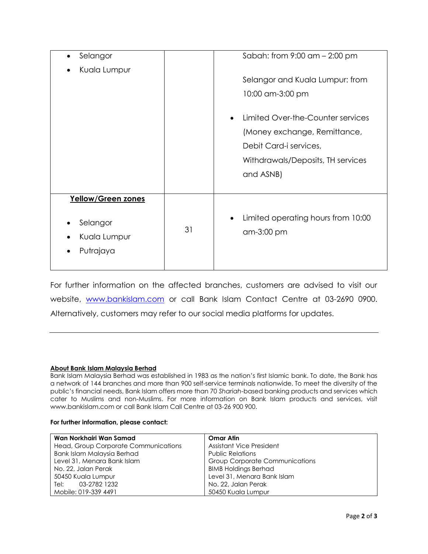| Selangor                                                    |    | Sabah: from $9:00$ am $- 2:00$ pm                                                                                                                                                                    |
|-------------------------------------------------------------|----|------------------------------------------------------------------------------------------------------------------------------------------------------------------------------------------------------|
| Kuala Lumpur                                                |    | Selangor and Kuala Lumpur: from<br>10:00 am-3:00 pm<br>Limited Over-the-Counter services<br>(Money exchange, Remittance,<br>Debit Card-i services,<br>Withdrawals/Deposits, TH services<br>and ASNB) |
| Yellow/Green zones<br>Selangor<br>Kuala Lumpur<br>Putrajaya | 31 | Limited operating hours from 10:00<br>$\bullet$<br>am-3:00 pm                                                                                                                                        |

For further information on the affected branches, customers are advised to visit our website, [www.bankislam.com](http://www.bankislam.com/) or call Bank Islam Contact Centre at 03-2690 0900. Alternatively, customers may refer to our social media platforms for updates.

## **About Bank Islam Malaysia Berhad**

Bank Islam Malaysia Berhad was established in 1983 as the nation's first Islamic bank. To date, the Bank has a network of 144 branches and more than 900 self-service terminals nationwide. To meet the diversity of the public's financial needs, Bank Islam offers more than 70 *Shariah*-based banking products and services which cater to Muslims and non-Muslims. For more information on Bank Islam products and services, visit www.bankislam.com or call Bank Islam Call Centre at 03-26 900 900.

## **For further information, please contact:**

| Wan Norkhairi Wan Samad              | <b>Omar Atin</b>                      |  |
|--------------------------------------|---------------------------------------|--|
| Head, Group Corporate Communications | Assistant Vice President              |  |
| Bank Islam Malaysia Berhad           | <b>Public Relations</b>               |  |
| Level 31, Menara Bank Islam          | <b>Group Corporate Communications</b> |  |
| No. 22, Jalan Perak                  | <b>BIMB Holdings Berhad</b>           |  |
| 50450 Kuala Lumpur                   | Level 31, Menara Bank Islam           |  |
| Tel: 03-2782 1232                    | No. 22, Jalan Perak                   |  |
| Mobile: 019-339 4491                 | 50450 Kuala Lumpur                    |  |